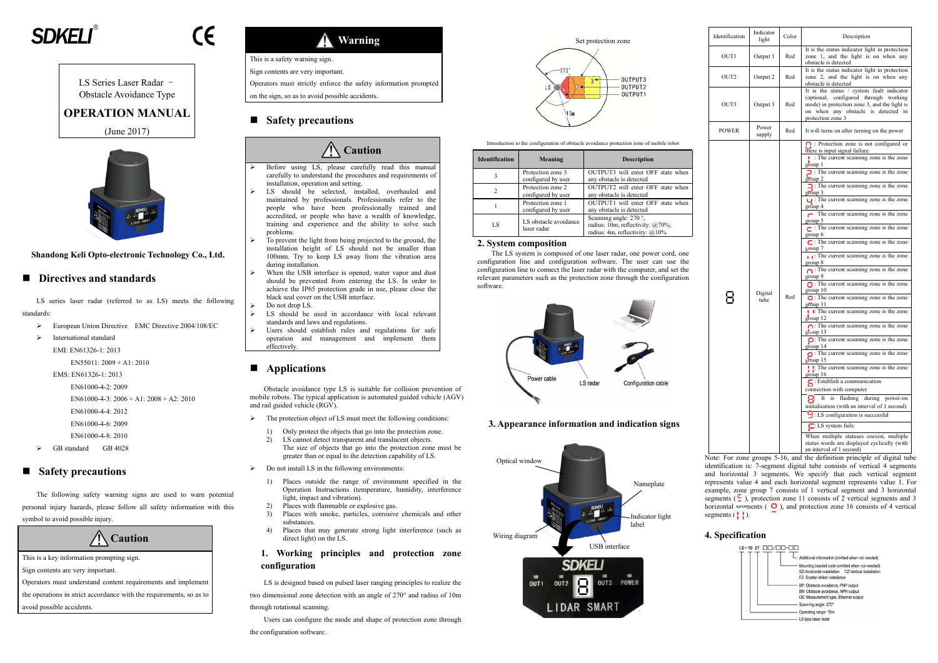# **SDKFI**

CE



Obstacle Avoidance Type

# **OPERATION MANUAL**

(June 2017)



#### **Shandong Keli Opto-electronic Technology Co., Ltd.**

### **Directives and standards**

- EN61000-4-4: 2012
- EN61000-4-6: 2009
- EN61000-4-8: 2010
- GB standard GB 4028

LS series laser radar (referred to as LS) meets the following standards:

- European Union Directive EMC Directive 2004/108/EC
- > International standard

EMI: EN61326-1: 2013

EN55011: 2009 + A1: 2010

EMS: EN61326-1: 2013

```
EN61000-4-2: 2009
```
EN61000-4-3: 2006 + A1: 2008 + A2: 2010

## **Safety precautions**

LS Series Laser Radar – Operators must strictly enforce the safety information prompted

The following safety warning signs are used to warn potential personal injury hazards, please follow all safety information with this symbol to avoid possible injury.

**Caution**

This is a key information prompting sign.

Sign contents are very important.

Operators must understand content requirements and implement

the operations in strict accordance with the requirements, so as to avoid possible accidents.

**Warning**

This is a safety warning sign.

Sign contents are very important.

on the sign, so as to avoid possible accidents.

# **Safety precautions**

# **Caution**

- $\triangleright$  The protection object of LS must meet the following conditions:
	- 1) Only protect the objects that go into the protection zone.
	- 2) LS cannot detect transparent and translucent objects. The size of objects that go into the protection zone must be greater than or equal to the detection capability of LS.
- $\triangleright$  Do not install LS in the following environments:
	- 1) Places outside the range of environment specified in the Operation Instructions (temperature, humidity, interference light, impact and vibration).
	- Places with flammable or explosive gas.
	- Places with smoke, particles, corrosive chemicals and other substances.
	- 4) Places that may generate strong light interference (such as direct light) on the LS.
- Before using LS, please carefully read this manual carefully to understand the procedures and requirements of installation, operation and setting.
- > LS should be selected, installed, overhauled and maintained by professionals. Professionals refer to the people who have been professionally trained and accredited, or people who have a wealth of knowledge, training and experience and the ability to solve such problems.
- $\triangleright$  To prevent the light from being projected to the ground, the installation height of LS should not be smaller than 100mm. Try to keep LS away from the vibration area during installation.
- When the USB interface is opened, water vapor and dust should be prevented from entering the LS. In order to achieve the IP65 protection grade in use, please close the black seal cover on the USB interface.
- Do not drop LS.
- $\triangleright$  LS should be used in accordance with local relevant standards and laws and regulations.
- Users should establish rules and regulations for safe operation and management and implement them effectively.

# ■ **Applications**

Obstacle avoidance type LS is suitable for collision prevention of mobile robots. The typical application is automated guided vehicle (AGV) and rail guided vehicle (RGV).

> Note: For zone groups 5-16, and the definition principle of digital tube identification is: 7-segment digital tube consists of vertical 4 segments and horizontal 3 segments. We specify that each vertical segment represents value 4 and each horizontal segment represents value 1. For example, zone group 7 consists of 1 vertical segment and 3 horizontal segments ( $\subseteq$ ), protection zone 11 consists of 2 vertical segments and 3 horizontal segments ( $\Box$ ), and protection zone 16 consists of 4 vertical segments  $( \cdot \cdot \cdot )$ .

#### **1. Working principles and protection zone configuration**

LS is designed based on pulsed laser ranging principles to realize the

two dimensional zone detection with an angle of 270° and radius of 10m through rotational scanning.





Users can configure the mode and shape of protection zone through the configuration software.

Introduction to the configuration of obstacle avoidance protection zone of mobile robot

| <b>Identification</b> | Meaning                                 | <b>Description</b>                                                                                         |
|-----------------------|-----------------------------------------|------------------------------------------------------------------------------------------------------------|
|                       | Protection zone 3<br>configured by user | OUTPUT3 will enter OFF state when<br>any obstacle is detected                                              |
|                       | Protection zone 2<br>configured by user | OUTPUT2 will enter OFF state when<br>any obstacle is detected                                              |
|                       | Protection zone 1<br>configured by user | OUTPUT1 will enter OFF state when<br>any obstacle is detected                                              |
| LS                    | LS obstacle avoidance<br>laser radar    | Scanning angle: $270^\circ$ ,<br>radius: 10m, reflectivity: $@70\%$ ;<br>radius: 4m, reflectivity: $@10\%$ |

#### **2. System composition**

The LS system is composed of one laser radar, one power cord, one configuration line and configuration software. The user can use the configuration line to connect the laser radar with the computer, and set the relevant parameters such as the protection zone through the configuration software.

**3. Appearance information and indication signs**

| Identification   | Indicator<br>light | Color | Description                                                                                                                                                                                                                                                                                                                                                                                                                                                                                                                                                                                                                                                                                                                                                                                                                                                                                                                                                                                                                                                                                                                                                                                                                                                                                                                                                                                                                                                                                                                 |  |  |
|------------------|--------------------|-------|-----------------------------------------------------------------------------------------------------------------------------------------------------------------------------------------------------------------------------------------------------------------------------------------------------------------------------------------------------------------------------------------------------------------------------------------------------------------------------------------------------------------------------------------------------------------------------------------------------------------------------------------------------------------------------------------------------------------------------------------------------------------------------------------------------------------------------------------------------------------------------------------------------------------------------------------------------------------------------------------------------------------------------------------------------------------------------------------------------------------------------------------------------------------------------------------------------------------------------------------------------------------------------------------------------------------------------------------------------------------------------------------------------------------------------------------------------------------------------------------------------------------------------|--|--|
| OUT1             | Output 1           | Red   | It is the status indicator light in protection<br>zone 1, and the light is on when any<br>obstacle is detected                                                                                                                                                                                                                                                                                                                                                                                                                                                                                                                                                                                                                                                                                                                                                                                                                                                                                                                                                                                                                                                                                                                                                                                                                                                                                                                                                                                                              |  |  |
| OUT <sub>2</sub> | Output 2           | Red   | It is the status indicator light in protection<br>zone 2, and the light is on when any<br>obstacle is detected                                                                                                                                                                                                                                                                                                                                                                                                                                                                                                                                                                                                                                                                                                                                                                                                                                                                                                                                                                                                                                                                                                                                                                                                                                                                                                                                                                                                              |  |  |
| OUT3             | Output 3           | Red   | It is the status / system fault indicator<br>(optional, configured through working<br>mode) in protection zone 3, and the light is<br>on when any obstacle is detected in<br>protection zone 3                                                                                                                                                                                                                                                                                                                                                                                                                                                                                                                                                                                                                                                                                                                                                                                                                                                                                                                                                                                                                                                                                                                                                                                                                                                                                                                              |  |  |
| <b>POWER</b>     | Power<br>supply    | Red   | It will turns on after turning on the power                                                                                                                                                                                                                                                                                                                                                                                                                                                                                                                                                                                                                                                                                                                                                                                                                                                                                                                                                                                                                                                                                                                                                                                                                                                                                                                                                                                                                                                                                 |  |  |
|                  | Digital<br>tube    | Red   | $\Gamma$ : Protection zone is not configured or<br>there is input signal failure<br>$\cdot$ : The current scanning zone is the zone<br>group 1<br>$\Box$ : The current scanning zone is the zone<br>group 2<br>$\Box$ : The current scanning zone is the zone<br>group <sub>3</sub><br>$\Box$ : The current scanning zone is the zone<br>group 4<br>$\blacksquare$ The current scanning zone is the zone<br>group 5<br>$\Gamma$ : The current scanning zone is the zone<br>group 6<br>$\Box$ : The current scanning zone is the zone<br>$g_{\overline{10}}$ up 7<br>$\mathbf{I}$ : The current scanning zone is the zone<br>group 8<br>$\Box$ : The current scanning zone is the zone<br>group 9<br>$\Box$ : The current scanning zone is the zone<br>group 10<br>$\Box$ : The current scanning zone is the zone<br>group 11<br><b>! !</b> : The current scanning zone is the zone<br>group 12<br>$\Box$ : The current scanning zone is the zone<br>group 13<br>$\Box$ : The current scanning zone is the zone<br>group 14<br>$\Box$ : The current scanning zone is the zone<br>$group$ 15<br>: The current scanning zone is the zone<br>group 16<br>$\Gamma$ : Establish a communication<br>connection with computer<br>is flashing during power-on<br>$\mathsf{B}^-$<br>It<br>initialization (with an interval of 1 second)<br>$\Box$ : LS configuraiton is successful<br>$\Box$ : LS system fails<br>When multiple statuses coexist, multiple<br>status words are displayed cyclically (with<br>an interval of 1 second) |  |  |

#### **4. Specification**